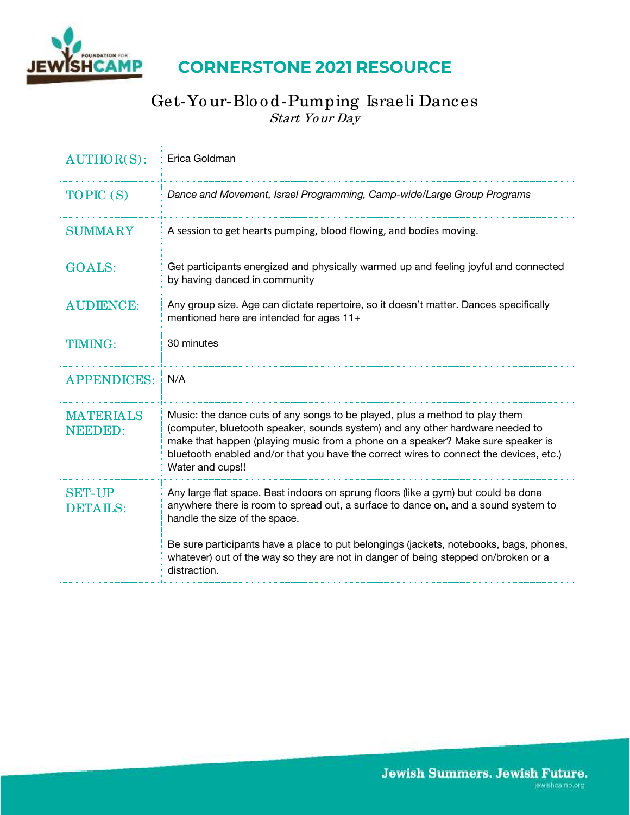

## **CORNERSTONE 2021 RESOURCE**

### Get-Yo ur-Blo o d-Pumping Israeli Dances Start Yo ur Day

| <b>AUTHOR(S):</b>                  | Erica Goldman                                                                                                                                                                                                                                                                                                                                                 |
|------------------------------------|---------------------------------------------------------------------------------------------------------------------------------------------------------------------------------------------------------------------------------------------------------------------------------------------------------------------------------------------------------------|
| TOPIC (S)                          | Dance and Movement, Israel Programming, Camp-wide/Large Group Programs                                                                                                                                                                                                                                                                                        |
| <b>SUMMARY</b>                     | A session to get hearts pumping, blood flowing, and bodies moving.                                                                                                                                                                                                                                                                                            |
| <b>GOALS:</b>                      | Get participants energized and physically warmed up and feeling joyful and connected<br>by having danced in community                                                                                                                                                                                                                                         |
| <b>AUDIENCE:</b>                   | Any group size. Age can dictate repertoire, so it doesn't matter. Dances specifically<br>mentioned here are intended for ages 11+                                                                                                                                                                                                                             |
| <b>TIMING:</b>                     | 30 minutes                                                                                                                                                                                                                                                                                                                                                    |
| <b>APPENDICES:</b>                 | N/A                                                                                                                                                                                                                                                                                                                                                           |
| <b>MATERIALS</b><br><b>NEEDED:</b> | Music: the dance cuts of any songs to be played, plus a method to play them<br>(computer, bluetooth speaker, sounds system) and any other hardware needed to<br>make that happen (playing music from a phone on a speaker? Make sure speaker is<br>bluetooth enabled and/or that you have the correct wires to connect the devices, etc.)<br>Water and cups!! |
| <b>SET-UP</b><br><b>DETAILS:</b>   | Any large flat space. Best indoors on sprung floors (like a gym) but could be done<br>anywhere there is room to spread out, a surface to dance on, and a sound system to<br>handle the size of the space.                                                                                                                                                     |
|                                    | Be sure participants have a place to put belongings (jackets, notebooks, bags, phones,<br>whatever) out of the way so they are not in danger of being stepped on/broken or a<br>distraction.                                                                                                                                                                  |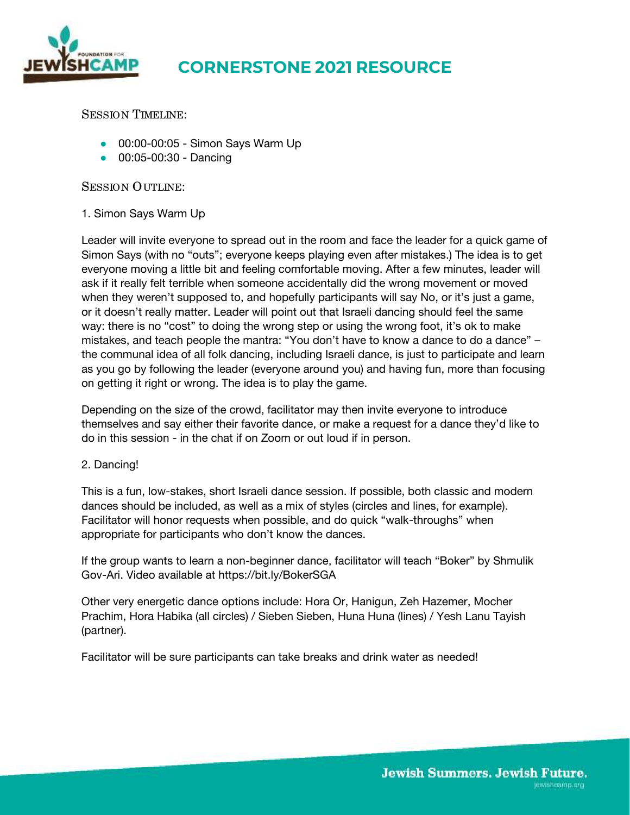

# **CORNERSTONE 2021 RESOURCE**

SESSION TIMELINE:

- 00:00-00:05 Simon Says Warm Up
- 00:05-00:30 Dancing

SESSION OUTLINE:

#### 1. Simon Says Warm Up

Leader will invite everyone to spread out in the room and face the leader for a quick game of Simon Says (with no "outs"; everyone keeps playing even after mistakes.) The idea is to get everyone moving a little bit and feeling comfortable moving. After a few minutes, leader will ask if it really felt terrible when someone accidentally did the wrong movement or moved when they weren't supposed to, and hopefully participants will say No, or it's just a game, or it doesn't really matter. Leader will point out that Israeli dancing should feel the same way: there is no "cost" to doing the wrong step or using the wrong foot, it's ok to make mistakes, and teach people the mantra: "You don't have to know a dance to do a dance" – the communal idea of all folk dancing, including Israeli dance, is just to participate and learn as you go by following the leader (everyone around you) and having fun, more than focusing on getting it right or wrong. The idea is to play the game.

Depending on the size of the crowd, facilitator may then invite everyone to introduce themselves and say either their favorite dance, or make a request for a dance they'd like to do in this session - in the chat if on Zoom or out loud if in person.

#### 2. Dancing!

This is a fun, low-stakes, short Israeli dance session. If possible, both classic and modern dances should be included, as well as a mix of styles (circles and lines, for example). Facilitator will honor requests when possible, and do quick "walk-throughs" when appropriate for participants who don't know the dances.

If the group wants to learn a non-beginner dance, facilitator will teach "Boker" by Shmulik Gov-Ari. Video available a[t https://bit.ly/BokerSGA](https://bit.ly/BokerSGA) 

Other very energetic dance options include: Hora Or, Hanigun, Zeh Hazemer, Mocher Prachim, Hora Habika (all circles) / Sieben Sieben, Huna Huna (lines) / Yesh Lanu Tayish (partner).

Facilitator will be sure participants can take breaks and drink water as needed!